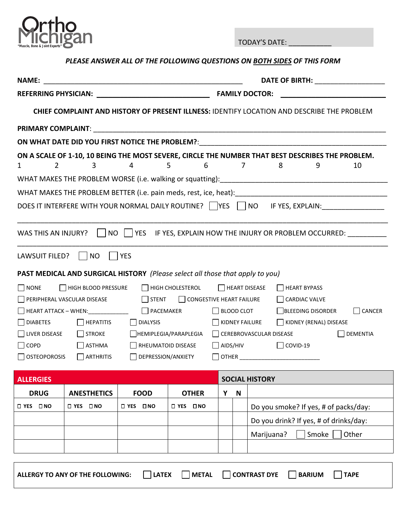

TODAY'S DATE: \_\_\_\_\_\_\_\_\_\_\_

## *PLEASE ANSWER ALL OF THE FOLLOWING QUESTIONS ON BOTH SIDES OF THIS FORM*

| <b>NAME:</b>                                    |                                                                                   |                                | DATE OF BIRTH: ____________________<br><u> 1989 - Andrea Andrew Maria (h. 1989).</u> |                   |             |                                                                                                                  |  |
|-------------------------------------------------|-----------------------------------------------------------------------------------|--------------------------------|--------------------------------------------------------------------------------------|-------------------|-------------|------------------------------------------------------------------------------------------------------------------|--|
|                                                 |                                                                                   |                                |                                                                                      |                   |             |                                                                                                                  |  |
|                                                 |                                                                                   |                                |                                                                                      |                   |             | <b>CHIEF COMPLAINT AND HISTORY OF PRESENT ILLNESS: IDENTIFY LOCATION AND DESCRIBE THE PROBLEM</b>                |  |
|                                                 |                                                                                   |                                |                                                                                      |                   |             |                                                                                                                  |  |
|                                                 |                                                                                   |                                |                                                                                      |                   |             | ON WHAT DATE DID YOU FIRST NOTICE THE PROBLEM?: _________________________________                                |  |
| $\mathbf{2}$<br>1                               | 3                                                                                 | 4                              | 5<br>6                                                                               |                   | 7           | ON A SCALE OF 1-10, 10 BEING THE MOST SEVERE, CIRCLE THE NUMBER THAT BEST DESCRIBES THE PROBLEM.<br>8<br>10<br>9 |  |
|                                                 |                                                                                   |                                |                                                                                      |                   |             |                                                                                                                  |  |
|                                                 |                                                                                   |                                |                                                                                      |                   |             |                                                                                                                  |  |
|                                                 |                                                                                   |                                |                                                                                      |                   |             | DOES IT INTERFERE WITH YOUR NORMAL DAILY ROUTINE? VES NO IF YES, EXPLAIN:                                        |  |
|                                                 |                                                                                   |                                |                                                                                      |                   |             |                                                                                                                  |  |
|                                                 |                                                                                   |                                |                                                                                      |                   |             | WAS THIS AN INJURY?     NO     YES IF YES, EXPLAIN HOW THE INJURY OR PROBLEM OCCURRED: _________                 |  |
| LAWSUIT FILED?     NO                           | <b>TES</b>                                                                        |                                |                                                                                      |                   |             |                                                                                                                  |  |
|                                                 | PAST MEDICAL AND SURGICAL HISTORY (Please select all those that apply to you)     |                                |                                                                                      |                   |             |                                                                                                                  |  |
| $\Box$ NONE                                     | HIGH BLOOD PRESSURE                                                               |                                | $\Box$ HIGH CHOLESTEROL                                                              |                   |             | $\Box$ HEART DISEASE<br>HEART BYPASS                                                                             |  |
|                                                 | PERIPHERAL VASCULAR DISEASE                                                       | STENT CONGESTIVE HEART FAILURE |                                                                                      |                   |             | CARDIAC VALVE                                                                                                    |  |
|                                                 | □ HEART ATTACK - WHEN: ________________  □ PACEMAKER                              |                                |                                                                                      | $\Box$ BLOOD CLOT |             | BLEEDING DISORDER<br>$\Box$ CANCER                                                                               |  |
| $\Box$ DIABETES<br>HEPATITIS<br>$\Box$ DIALYSIS |                                                                                   |                                | KIDNEY FAILURE<br>KIDNEY (RENAL) DISEASE                                             |                   |             |                                                                                                                  |  |
| LIVER DISEASE                                   | $\Box$ STROKE                                                                     | HEMIPLEGIA/PARAPLEGIA          |                                                                                      |                   |             | CEREBROVASCULAR DISEASE<br>DEMENTIA                                                                              |  |
| $\Box$ COPD                                     | $\blacksquare$ ASTHMA<br>RHEUMATOID DISEASE<br>$\Box$ AIDS/HIV<br>$\Box$ COVID-19 |                                |                                                                                      |                   |             |                                                                                                                  |  |
| $\Box$ OSTEOPOROSIS                             | $\Box$ ARTHRITIS                                                                  | DEPRESSION/ANXIETY             |                                                                                      |                   |             |                                                                                                                  |  |
| <b>ALLERGIES</b>                                | <b>SOCIAL HISTORY</b>                                                             |                                |                                                                                      |                   |             |                                                                                                                  |  |
| <b>DRUG</b>                                     | <b>ANESTHETICS</b>                                                                | <b>FOOD</b>                    | <b>OTHER</b>                                                                         | Y                 | $\mathsf N$ |                                                                                                                  |  |
| $\square$ YES<br>$\square$ NO                   | □ YES □ NO                                                                        | □ YES □ NO                     | $\square$ YES<br>$\square$ NO                                                        |                   |             | Do you smoke? If yes, # of packs/day:                                                                            |  |
|                                                 |                                                                                   |                                |                                                                                      |                   |             | Do you drink? If yes, # of drinks/day:                                                                           |  |
|                                                 |                                                                                   |                                |                                                                                      |                   |             | Smoke<br>Other<br>Marijuana?                                                                                     |  |
|                                                 |                                                                                   |                                |                                                                                      |                   |             |                                                                                                                  |  |

| ALLERGY TO ANY OF THE FOLLOWING: | <b>LATEX</b> |  | METAL CONTRAST DYE | <b>BARIUM</b> | <b>TAPE</b> |  |
|----------------------------------|--------------|--|--------------------|---------------|-------------|--|
|----------------------------------|--------------|--|--------------------|---------------|-------------|--|